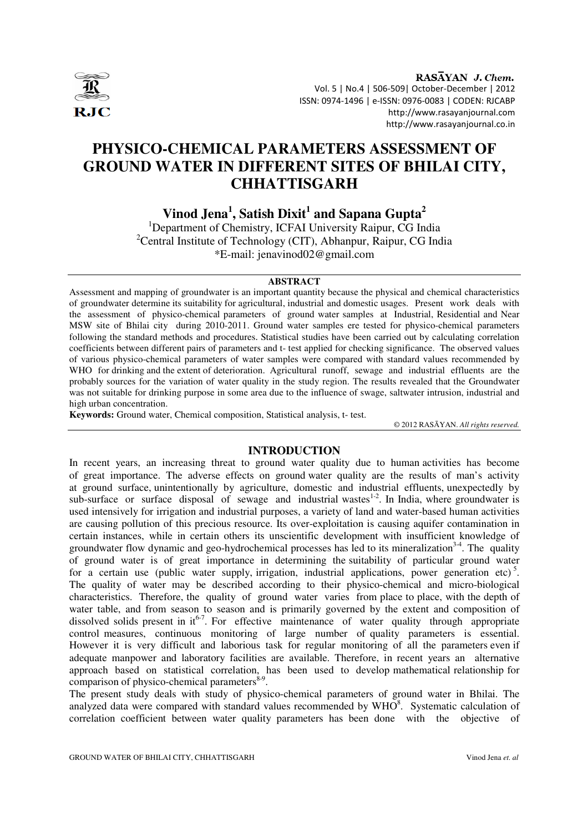

RASAYAN J. Chem. Vol. 5 | No.4 | 506-509| October-December | 2012 ISSN: 0974-1496 | e-ISSN: 0976-0083 | CODEN: RJCABP http://www.rasayanjournal.com http://www.rasayanjournal.co.in

# **PHYSICO-CHEMICAL PARAMETERS ASSESSMENT OF GROUND WATER IN DIFFERENT SITES OF BHILAI CITY, CHHATTISGARH**

**Vinod Jena<sup>1</sup> , Satish Dixit<sup>1</sup> and Sapana Gupta<sup>2</sup>**

<sup>1</sup>Department of Chemistry, ICFAI University Raipur, CG India <sup>2</sup>Central Institute of Technology (CIT), Abhanpur, Raipur, CG India \*E-mail: jenavinod02@gmail.com

#### **ABSTRACT**

Assessment and mapping of groundwater is an important quantity because the physical and chemical characteristics of groundwater determine its suitability for agricultural, industrial and domestic usages. Present work deals with the assessment of physico-chemical parameters of ground water samples at Industrial, Residential and Near MSW site of Bhilai city during 2010-2011. Ground water samples ere tested for physico-chemical parameters following the standard methods and procedures. Statistical studies have been carried out by calculating correlation coefficients between different pairs of parameters and t- test applied for checking significance. The observed values of various physico-chemical parameters of water samples were compared with standard values recommended by WHO for drinking and the extent of deterioration. Agricultural runoff, sewage and industrial effluents are the probably sources for the variation of water quality in the study region. The results revealed that the Groundwater was not suitable for drinking purpose in some area due to the influence of swage, saltwater intrusion, industrial and high urban concentration.

**Keywords:** Ground water, Chemical composition, Statistical analysis, t- test.

© 2012 RASĀYAN. *All rights reserved.*

## **INTRODUCTION**

In recent years, an increasing threat to ground water quality due to human activities has become of great importance. The adverse effects on ground water quality are the results of man's activity at ground surface, unintentionally by agriculture, domestic and industrial effluents, unexpectedly by sub-surface or surface disposal of sewage and industrial wastes<sup>1-2</sup>. In India, where groundwater is used intensively for irrigation and industrial purposes, a variety of land and water-based human activities are causing pollution of this precious resource. Its over-exploitation is causing aquifer contamination in certain instances, while in certain others its unscientific development with insufficient knowledge of groundwater flow dynamic and geo-hydrochemical processes has led to its mineralization<sup>3-4</sup>. The quality of ground water is of great importance in determining the suitability of particular ground water for a certain use (public water supply, irrigation, industrial applications, power generation etc)<sup>5</sup>. The quality of water may be described according to their physico-chemical and micro-biological characteristics. Therefore, the quality of ground water varies from place to place, with the depth of water table, and from season to season and is primarily governed by the extent and composition of dissolved solids present in it<sup>6-7</sup>. For effective maintenance of water quality through appropriate control measures, continuous monitoring of large number of quality parameters is essential. However it is very difficult and laborious task for regular monitoring of all the parameters even if adequate manpower and laboratory facilities are available. Therefore, in recent years an alternative approach based on statistical correlation, has been used to develop mathematical relationship for comparison of physico-chemical parameters $8-9$ .

The present study deals with study of physico-chemical parameters of ground water in Bhilai. The analyzed data were compared with standard values recommended by  $WHO<sup>8</sup>$ . Systematic calculation of correlation coefficient between water quality parameters has been done with the objective of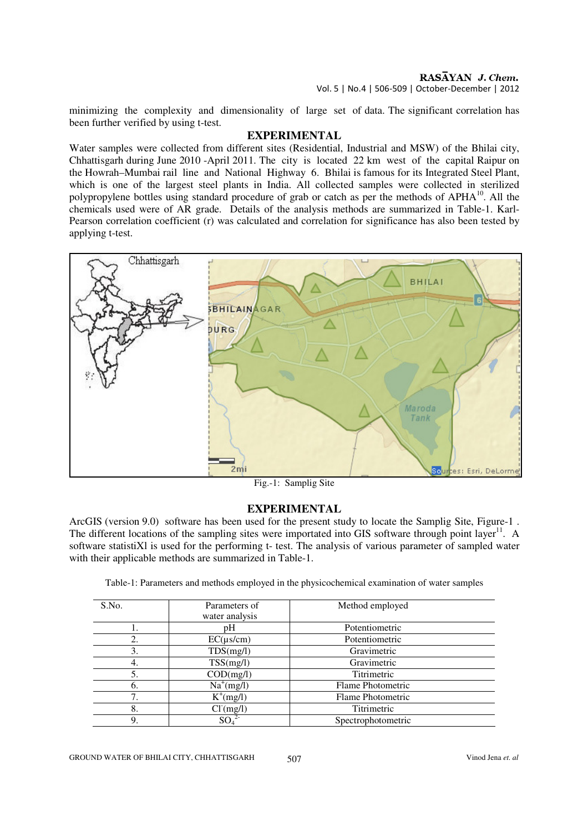RASAYAN J. Chem. Vol. 5 | No.4 | 506-509 | October-December | 2012

minimizing the complexity and dimensionality of large set of data. The significant correlation has been further verified by using t-test.

#### **EXPERIMENTAL**

Water samples were collected from different sites (Residential, Industrial and MSW) of the Bhilai city, Chhattisgarh during June 2010 -April 2011. The city is located 22 km west of the capital Raipur on the Howrah–Mumbai rail line and National Highway 6. Bhilai is famous for its Integrated Steel Plant, which is one of the largest steel plants in India. All collected samples were collected in sterilized polypropylene bottles using standard procedure of grab or catch as per the methods of APHA<sup>10</sup>. All the chemicals used were of AR grade. Details of the analysis methods are summarized in Table-1. Karl-Pearson correlation coefficient (r) was calculated and correlation for significance has also been tested by applying t-test.



Fig.-1: Samplig Site

#### **EXPERIMENTAL**

ArcGIS (version 9.0) software has been used for the present study to locate the Samplig Site, Figure-1 . The different locations of the sampling sites were importated into GIS software through point layer<sup>11</sup>. A software statistiXl is used for the performing t- test. The analysis of various parameter of sampled water with their applicable methods are summarized in Table-1.

Table-1: Parameters and methods employed in the physicochemical examination of water samples

| S.No. | Parameters of<br>water analysis | Method employed    |
|-------|---------------------------------|--------------------|
|       | pH                              | Potentiometric     |
| 2.    | $EC(\mu s/cm)$                  | Potentiometric     |
| 3.    | TDS(mg/l)                       | Gravimetric        |
| 4.    | TSS(mg/l)                       | Gravimetric        |
| 5.    | $\overline{COD}$ (mg/l)         | Titrimetric        |
| 6.    | $Na^{+}(mg/l)$                  | Flame Photometric  |
|       | $K^+(mg/l)$                     | Flame Photometric  |
| 8.    | CI(mg/l)                        | Titrimetric        |
| 9.    | SO <sub>4</sub>                 | Spectrophotometric |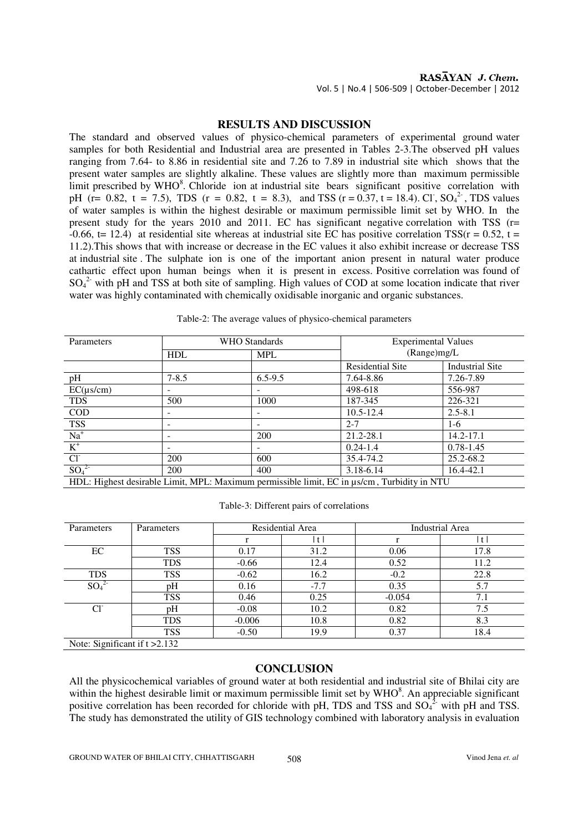#### RASAYAN J. Chem. Vol. 5 | No.4 | 506-509 | October-December | 2012

# **RESULTS AND DISCUSSION**

The standard and observed values of physico-chemical parameters of experimental ground water samples for both Residential and Industrial area are presented in Tables 2-3.The observed pH values ranging from 7.64- to 8.86 in residential site and 7.26 to 7.89 in industrial site which shows that the present water samples are slightly alkaline. These values are slightly more than maximum permissible limit prescribed by WHO<sup>8</sup>. Chloride ion at industrial site bears significant positive correlation with pH (r= 0.82, t = 7.5), TDS (r = 0.82, t = 8.3), and TSS (r = 0.37, t = 18.4). Cl,  $SO_4^{2}$ , TDS values of water samples is within the highest desirable or maximum permissible limit set by WHO. In the present study for the years 2010 and 2011. EC has significant negative correlation with TSS (r=  $-0.66$ , t= 12.4) at residential site whereas at industrial site EC has positive correlation TSS( $r = 0.52$ , t = 11.2).This shows that with increase or decrease in the EC values it also exhibit increase or decrease TSS at industrial site . The sulphate ion is one of the important anion present in natural water produce cathartic effect upon human beings when it is present in excess. Positive correlation was found of  $SO_4^2$  with pH and TSS at both site of sampling. High values of COD at some location indicate that river water was highly contaminated with chemically oxidisable inorganic and organic substances.

| Parameters                                                                                        | <b>WHO</b> Standards |             | <b>Experimental Values</b> |                        |  |  |  |
|---------------------------------------------------------------------------------------------------|----------------------|-------------|----------------------------|------------------------|--|--|--|
|                                                                                                   | <b>HDL</b>           | <b>MPL</b>  | (Range)mg/L                |                        |  |  |  |
|                                                                                                   |                      |             | <b>Residential Site</b>    | <b>Industrial Site</b> |  |  |  |
| pH                                                                                                | $7 - 8.5$            | $6.5 - 9.5$ | 7.64-8.86                  | 7.26-7.89              |  |  |  |
| $EC(\mu s/cm)$                                                                                    |                      |             | 498-618                    | 556-987                |  |  |  |
| <b>TDS</b>                                                                                        | 500                  | 1000        | 187-345                    | 226-321                |  |  |  |
| <b>COD</b>                                                                                        |                      |             | $10.5 - 12.4$              | $2.5 - 8.1$            |  |  |  |
| <b>TSS</b>                                                                                        |                      | ۰           | $2 - 7$                    | 1-6                    |  |  |  |
| $\overline{Na^+}$                                                                                 |                      | 200         | 21.2-28.1                  | $14.2 - 17.1$          |  |  |  |
| $K^+$                                                                                             |                      |             | $0.24 - 1.4$               | $0.78 - 1.45$          |  |  |  |
| CI                                                                                                | 200                  | 600         | 35.4-74.2                  | 25.2-68.2              |  |  |  |
| $SO_4^2$                                                                                          | 200                  | 400         | 3.18-6.14                  | 16.4-42.1              |  |  |  |
| HDL: Highest desirable Limit, MPL: Maximum permissible limit, EC in $\mu s/cm$ , Turbidity in NTU |                      |             |                            |                        |  |  |  |

Table-2: The average values of physico-chemical parameters

Table-3: Different pairs of correlations

| Parameters      | Parameters | Residential Area |        | <b>Industrial Area</b> |      |
|-----------------|------------|------------------|--------|------------------------|------|
|                 |            |                  | t      |                        | t    |
| EC              | <b>TSS</b> | 0.17             | 31.2   | 0.06                   | 17.8 |
|                 | <b>TDS</b> | $-0.66$          | 12.4   | 0.52                   | 11.2 |
| <b>TDS</b>      | <b>TSS</b> | $-0.62$          | 16.2   | $-0.2$                 | 22.8 |
| SO <sub>4</sub> | pН         | 0.16             | $-7.7$ | 0.35                   | 5.7  |
|                 | <b>TSS</b> | 0.46             | 0.25   | $-0.054$               | 7.1  |
| $Cl^{\dagger}$  | pH         | $-0.08$          | 10.2   | 0.82                   | 7.5  |
|                 | <b>TDS</b> | $-0.006$         | 10.8   | 0.82                   | 8.3  |
|                 | <b>TSS</b> | $-0.50$          | 19.9   | 0.37                   | 18.4 |

Note: Significant if t > 2.132

## **CONCLUSION**

All the physicochemical variables of ground water at both residential and industrial site of Bhilai city are within the highest desirable limit or maximum permissible limit set by  $WHO<sup>8</sup>$ . An appreciable significant positive correlation has been recorded for chloride with pH, TDS and TSS and  $SO_4^{2}$  with pH and TSS. The study has demonstrated the utility of GIS technology combined with laboratory analysis in evaluation